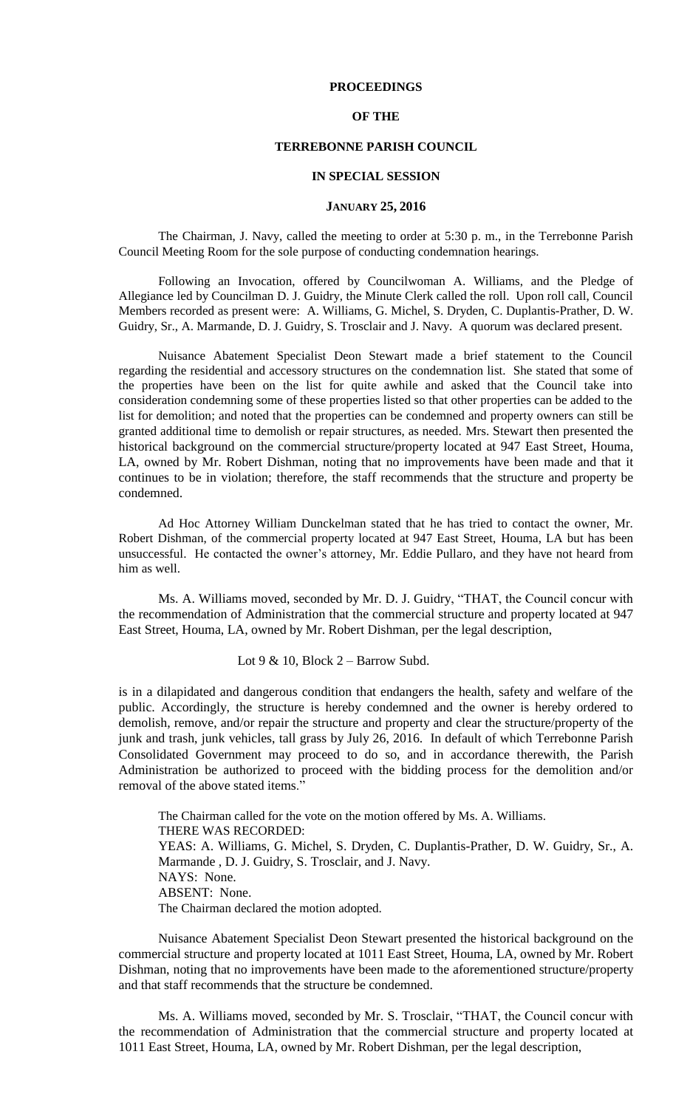## **PROCEEDINGS**

## **OF THE**

## **TERREBONNE PARISH COUNCIL**

#### **IN SPECIAL SESSION**

#### **JANUARY 25, 2016**

The Chairman, J. Navy, called the meeting to order at 5:30 p. m., in the Terrebonne Parish Council Meeting Room for the sole purpose of conducting condemnation hearings.

Following an Invocation, offered by Councilwoman A. Williams, and the Pledge of Allegiance led by Councilman D. J. Guidry, the Minute Clerk called the roll. Upon roll call, Council Members recorded as present were: A. Williams, G. Michel, S. Dryden, C. Duplantis-Prather, D. W. Guidry, Sr., A. Marmande, D. J. Guidry, S. Trosclair and J. Navy. A quorum was declared present.

Nuisance Abatement Specialist Deon Stewart made a brief statement to the Council regarding the residential and accessory structures on the condemnation list. She stated that some of the properties have been on the list for quite awhile and asked that the Council take into consideration condemning some of these properties listed so that other properties can be added to the list for demolition; and noted that the properties can be condemned and property owners can still be granted additional time to demolish or repair structures, as needed. Mrs. Stewart then presented the historical background on the commercial structure/property located at 947 East Street, Houma, LA, owned by Mr. Robert Dishman, noting that no improvements have been made and that it continues to be in violation; therefore, the staff recommends that the structure and property be condemned.

Ad Hoc Attorney William Dunckelman stated that he has tried to contact the owner, Mr. Robert Dishman, of the commercial property located at 947 East Street, Houma, LA but has been unsuccessful. He contacted the owner's attorney, Mr. Eddie Pullaro, and they have not heard from him as well.

Ms. A. Williams moved, seconded by Mr. D. J. Guidry, "THAT, the Council concur with the recommendation of Administration that the commercial structure and property located at 947 East Street, Houma, LA, owned by Mr. Robert Dishman, per the legal description,

Lot  $9 < 10$ , Block  $2 -$  Barrow Subd.

is in a dilapidated and dangerous condition that endangers the health, safety and welfare of the public. Accordingly, the structure is hereby condemned and the owner is hereby ordered to demolish, remove, and/or repair the structure and property and clear the structure/property of the junk and trash, junk vehicles, tall grass by July 26, 2016. In default of which Terrebonne Parish Consolidated Government may proceed to do so, and in accordance therewith, the Parish Administration be authorized to proceed with the bidding process for the demolition and/or removal of the above stated items."

The Chairman called for the vote on the motion offered by Ms. A. Williams. THERE WAS RECORDED: YEAS: A. Williams, G. Michel, S. Dryden, C. Duplantis-Prather, D. W. Guidry, Sr., A. Marmande , D. J. Guidry, S. Trosclair, and J. Navy. NAYS: None. ABSENT: None. The Chairman declared the motion adopted.

Nuisance Abatement Specialist Deon Stewart presented the historical background on the commercial structure and property located at 1011 East Street, Houma, LA, owned by Mr. Robert Dishman, noting that no improvements have been made to the aforementioned structure/property and that staff recommends that the structure be condemned.

Ms. A. Williams moved, seconded by Mr. S. Trosclair, "THAT, the Council concur with the recommendation of Administration that the commercial structure and property located at 1011 East Street, Houma, LA, owned by Mr. Robert Dishman, per the legal description,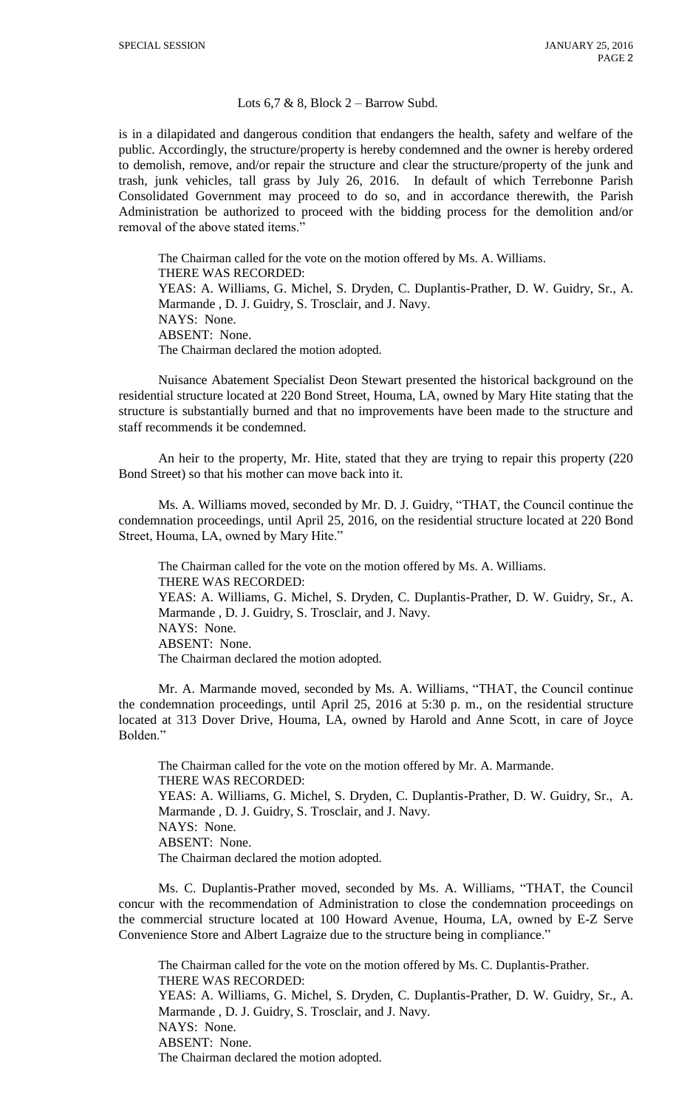#### Lots  $6,7 \& 8$ , Block  $2 -$  Barrow Subd.

is in a dilapidated and dangerous condition that endangers the health, safety and welfare of the public. Accordingly, the structure/property is hereby condemned and the owner is hereby ordered to demolish, remove, and/or repair the structure and clear the structure/property of the junk and trash, junk vehicles, tall grass by July 26, 2016. In default of which Terrebonne Parish Consolidated Government may proceed to do so, and in accordance therewith, the Parish Administration be authorized to proceed with the bidding process for the demolition and/or removal of the above stated items."

The Chairman called for the vote on the motion offered by Ms. A. Williams. THERE WAS RECORDED: YEAS: A. Williams, G. Michel, S. Dryden, C. Duplantis-Prather, D. W. Guidry, Sr., A. Marmande , D. J. Guidry, S. Trosclair, and J. Navy. NAYS: None. ABSENT: None. The Chairman declared the motion adopted.

Nuisance Abatement Specialist Deon Stewart presented the historical background on the residential structure located at 220 Bond Street, Houma, LA, owned by Mary Hite stating that the structure is substantially burned and that no improvements have been made to the structure and staff recommends it be condemned.

An heir to the property, Mr. Hite, stated that they are trying to repair this property (220 Bond Street) so that his mother can move back into it.

Ms. A. Williams moved, seconded by Mr. D. J. Guidry, "THAT, the Council continue the condemnation proceedings, until April 25, 2016, on the residential structure located at 220 Bond Street, Houma, LA, owned by Mary Hite."

The Chairman called for the vote on the motion offered by Ms. A. Williams. THERE WAS RECORDED: YEAS: A. Williams, G. Michel, S. Dryden, C. Duplantis-Prather, D. W. Guidry, Sr., A. Marmande , D. J. Guidry, S. Trosclair, and J. Navy. NAYS: None. ABSENT: None. The Chairman declared the motion adopted.

Mr. A. Marmande moved, seconded by Ms. A. Williams, "THAT, the Council continue the condemnation proceedings, until April 25, 2016 at 5:30 p. m., on the residential structure located at 313 Dover Drive, Houma, LA, owned by Harold and Anne Scott, in care of Joyce Bolden."

The Chairman called for the vote on the motion offered by Mr. A. Marmande. THERE WAS RECORDED: YEAS: A. Williams, G. Michel, S. Dryden, C. Duplantis-Prather, D. W. Guidry, Sr., A. Marmande , D. J. Guidry, S. Trosclair, and J. Navy. NAYS: None. ABSENT: None. The Chairman declared the motion adopted.

Ms. C. Duplantis-Prather moved, seconded by Ms. A. Williams, "THAT, the Council concur with the recommendation of Administration to close the condemnation proceedings on the commercial structure located at 100 Howard Avenue, Houma, LA, owned by E-Z Serve Convenience Store and Albert Lagraize due to the structure being in compliance."

The Chairman called for the vote on the motion offered by Ms. C. Duplantis-Prather. THERE WAS RECORDED: YEAS: A. Williams, G. Michel, S. Dryden, C. Duplantis-Prather, D. W. Guidry, Sr., A. Marmande , D. J. Guidry, S. Trosclair, and J. Navy. NAYS: None. ABSENT: None. The Chairman declared the motion adopted.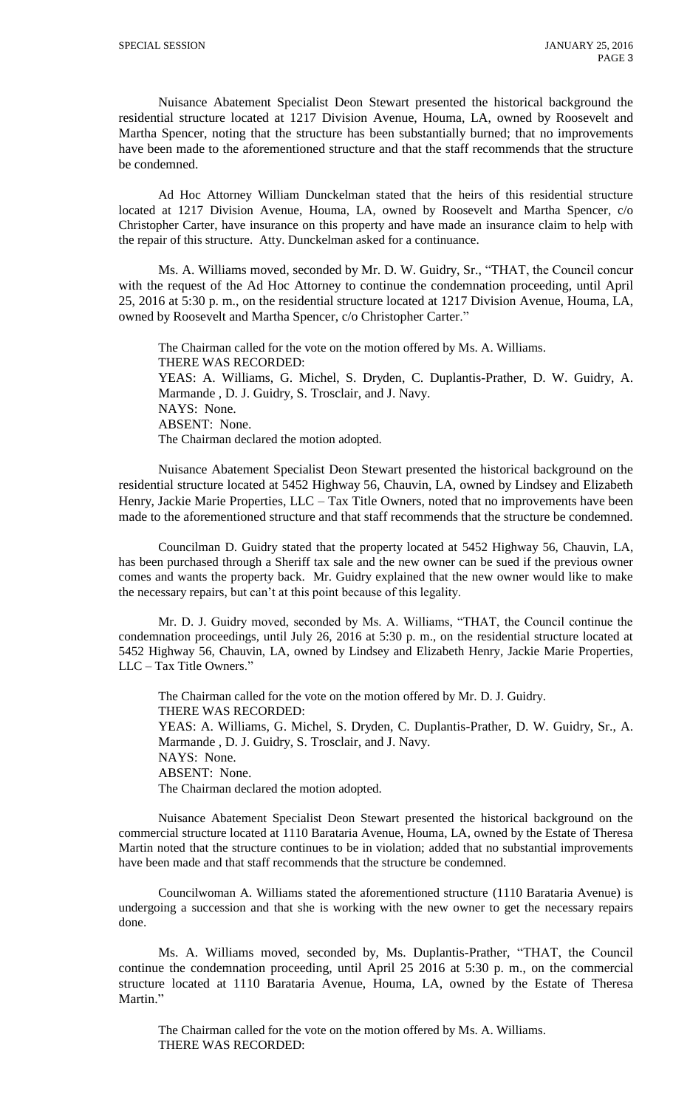Nuisance Abatement Specialist Deon Stewart presented the historical background the residential structure located at 1217 Division Avenue, Houma, LA, owned by Roosevelt and Martha Spencer, noting that the structure has been substantially burned; that no improvements have been made to the aforementioned structure and that the staff recommends that the structure be condemned.

Ad Hoc Attorney William Dunckelman stated that the heirs of this residential structure located at 1217 Division Avenue, Houma, LA, owned by Roosevelt and Martha Spencer, c/o Christopher Carter, have insurance on this property and have made an insurance claim to help with the repair of this structure. Atty. Dunckelman asked for a continuance.

Ms. A. Williams moved, seconded by Mr. D. W. Guidry, Sr., "THAT, the Council concur with the request of the Ad Hoc Attorney to continue the condemnation proceeding, until April 25, 2016 at 5:30 p. m., on the residential structure located at 1217 Division Avenue, Houma, LA, owned by Roosevelt and Martha Spencer, c/o Christopher Carter."

The Chairman called for the vote on the motion offered by Ms. A. Williams. THERE WAS RECORDED: YEAS: A. Williams, G. Michel, S. Dryden, C. Duplantis-Prather, D. W. Guidry, A. Marmande , D. J. Guidry, S. Trosclair, and J. Navy. NAYS: None. ABSENT: None. The Chairman declared the motion adopted.

Nuisance Abatement Specialist Deon Stewart presented the historical background on the residential structure located at 5452 Highway 56, Chauvin, LA, owned by Lindsey and Elizabeth Henry, Jackie Marie Properties, LLC - Tax Title Owners, noted that no improvements have been made to the aforementioned structure and that staff recommends that the structure be condemned.

Councilman D. Guidry stated that the property located at 5452 Highway 56, Chauvin, LA, has been purchased through a Sheriff tax sale and the new owner can be sued if the previous owner comes and wants the property back. Mr. Guidry explained that the new owner would like to make the necessary repairs, but can't at this point because of this legality.

Mr. D. J. Guidry moved, seconded by Ms. A. Williams, "THAT, the Council continue the condemnation proceedings, until July 26, 2016 at 5:30 p. m., on the residential structure located at 5452 Highway 56, Chauvin, LA, owned by Lindsey and Elizabeth Henry, Jackie Marie Properties, LLC – Tax Title Owners."

The Chairman called for the vote on the motion offered by Mr. D. J. Guidry. THERE WAS RECORDED: YEAS: A. Williams, G. Michel, S. Dryden, C. Duplantis-Prather, D. W. Guidry, Sr., A. Marmande , D. J. Guidry, S. Trosclair, and J. Navy. NAYS: None. ABSENT: None. The Chairman declared the motion adopted.

Nuisance Abatement Specialist Deon Stewart presented the historical background on the commercial structure located at 1110 Barataria Avenue, Houma, LA, owned by the Estate of Theresa Martin noted that the structure continues to be in violation; added that no substantial improvements have been made and that staff recommends that the structure be condemned.

Councilwoman A. Williams stated the aforementioned structure (1110 Barataria Avenue) is undergoing a succession and that she is working with the new owner to get the necessary repairs done.

Ms. A. Williams moved, seconded by, Ms. Duplantis-Prather, "THAT, the Council continue the condemnation proceeding, until April 25 2016 at 5:30 p. m., on the commercial structure located at 1110 Barataria Avenue, Houma, LA, owned by the Estate of Theresa Martin."

The Chairman called for the vote on the motion offered by Ms. A. Williams. THERE WAS RECORDED: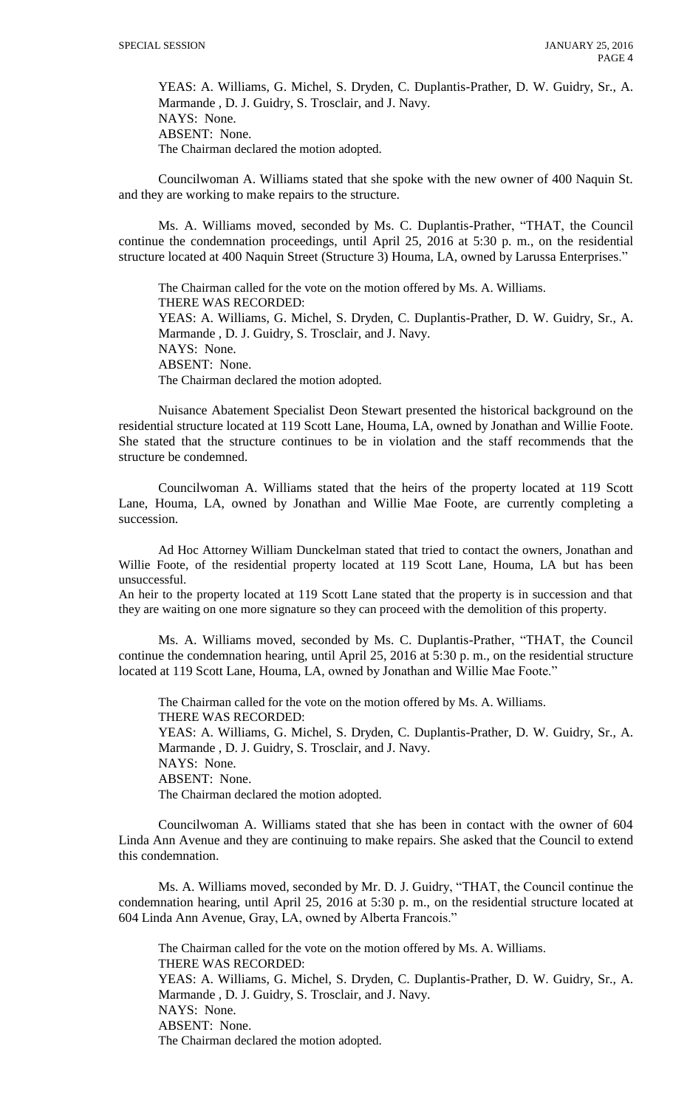YEAS: A. Williams, G. Michel, S. Dryden, C. Duplantis-Prather, D. W. Guidry, Sr., A. Marmande , D. J. Guidry, S. Trosclair, and J. Navy. NAYS: None. ABSENT: None. The Chairman declared the motion adopted.

Councilwoman A. Williams stated that she spoke with the new owner of 400 Naquin St. and they are working to make repairs to the structure.

Ms. A. Williams moved, seconded by Ms. C. Duplantis-Prather, "THAT, the Council continue the condemnation proceedings, until April 25, 2016 at 5:30 p. m., on the residential structure located at 400 Naquin Street (Structure 3) Houma, LA, owned by Larussa Enterprises."

The Chairman called for the vote on the motion offered by Ms. A. Williams. THERE WAS RECORDED: YEAS: A. Williams, G. Michel, S. Dryden, C. Duplantis-Prather, D. W. Guidry, Sr., A. Marmande , D. J. Guidry, S. Trosclair, and J. Navy. NAYS: None. ABSENT: None. The Chairman declared the motion adopted.

Nuisance Abatement Specialist Deon Stewart presented the historical background on the residential structure located at 119 Scott Lane, Houma, LA, owned by Jonathan and Willie Foote. She stated that the structure continues to be in violation and the staff recommends that the structure be condemned.

Councilwoman A. Williams stated that the heirs of the property located at 119 Scott Lane, Houma, LA, owned by Jonathan and Willie Mae Foote, are currently completing a succession.

Ad Hoc Attorney William Dunckelman stated that tried to contact the owners, Jonathan and Willie Foote, of the residential property located at 119 Scott Lane, Houma, LA but has been unsuccessful.

An heir to the property located at 119 Scott Lane stated that the property is in succession and that they are waiting on one more signature so they can proceed with the demolition of this property.

Ms. A. Williams moved, seconded by Ms. C. Duplantis-Prather, "THAT, the Council continue the condemnation hearing, until April 25, 2016 at 5:30 p. m., on the residential structure located at 119 Scott Lane, Houma, LA, owned by Jonathan and Willie Mae Foote."

The Chairman called for the vote on the motion offered by Ms. A. Williams. THERE WAS RECORDED: YEAS: A. Williams, G. Michel, S. Dryden, C. Duplantis-Prather, D. W. Guidry, Sr., A. Marmande , D. J. Guidry, S. Trosclair, and J. Navy. NAYS: None. ABSENT: None.

The Chairman declared the motion adopted.

Councilwoman A. Williams stated that she has been in contact with the owner of 604 Linda Ann Avenue and they are continuing to make repairs. She asked that the Council to extend this condemnation.

Ms. A. Williams moved, seconded by Mr. D. J. Guidry, "THAT, the Council continue the condemnation hearing, until April 25, 2016 at 5:30 p. m., on the residential structure located at 604 Linda Ann Avenue, Gray, LA, owned by Alberta Francois."

The Chairman called for the vote on the motion offered by Ms. A. Williams. THERE WAS RECORDED: YEAS: A. Williams, G. Michel, S. Dryden, C. Duplantis-Prather, D. W. Guidry, Sr., A. Marmande , D. J. Guidry, S. Trosclair, and J. Navy. NAYS: None. ABSENT: None. The Chairman declared the motion adopted.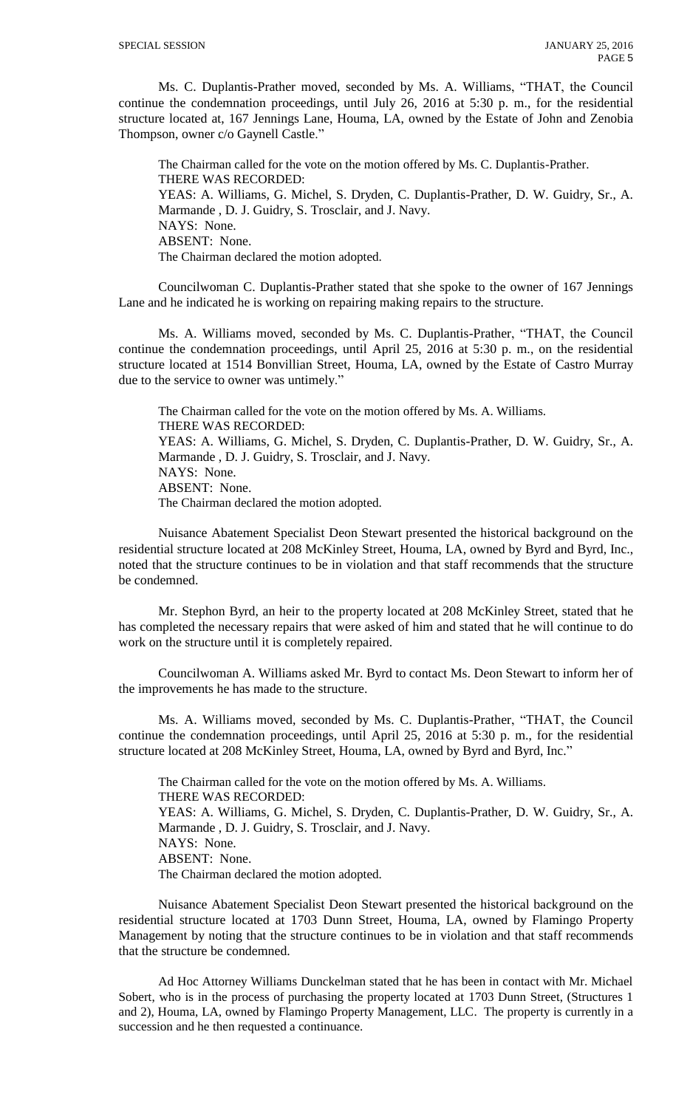Ms. C. Duplantis-Prather moved, seconded by Ms. A. Williams, "THAT, the Council continue the condemnation proceedings, until July 26, 2016 at 5:30 p. m., for the residential structure located at, 167 Jennings Lane, Houma, LA, owned by the Estate of John and Zenobia Thompson, owner c/o Gaynell Castle."

The Chairman called for the vote on the motion offered by Ms. C. Duplantis-Prather. THERE WAS RECORDED: YEAS: A. Williams, G. Michel, S. Dryden, C. Duplantis-Prather, D. W. Guidry, Sr., A. Marmande , D. J. Guidry, S. Trosclair, and J. Navy. NAYS: None. ABSENT: None. The Chairman declared the motion adopted.

Councilwoman C. Duplantis-Prather stated that she spoke to the owner of 167 Jennings Lane and he indicated he is working on repairing making repairs to the structure.

Ms. A. Williams moved, seconded by Ms. C. Duplantis-Prather, "THAT, the Council continue the condemnation proceedings, until April 25, 2016 at 5:30 p. m., on the residential structure located at 1514 Bonvillian Street, Houma, LA, owned by the Estate of Castro Murray due to the service to owner was untimely."

The Chairman called for the vote on the motion offered by Ms. A. Williams. THERE WAS RECORDED: YEAS: A. Williams, G. Michel, S. Dryden, C. Duplantis-Prather, D. W. Guidry, Sr., A. Marmande , D. J. Guidry, S. Trosclair, and J. Navy. NAYS: None. ABSENT: None. The Chairman declared the motion adopted.

Nuisance Abatement Specialist Deon Stewart presented the historical background on the residential structure located at 208 McKinley Street, Houma, LA, owned by Byrd and Byrd, Inc., noted that the structure continues to be in violation and that staff recommends that the structure be condemned.

Mr. Stephon Byrd, an heir to the property located at 208 McKinley Street, stated that he has completed the necessary repairs that were asked of him and stated that he will continue to do work on the structure until it is completely repaired.

Councilwoman A. Williams asked Mr. Byrd to contact Ms. Deon Stewart to inform her of the improvements he has made to the structure.

 Ms. A. Williams moved, seconded by Ms. C. Duplantis-Prather, "THAT, the Council continue the condemnation proceedings, until April 25, 2016 at 5:30 p. m., for the residential structure located at 208 McKinley Street, Houma, LA, owned by Byrd and Byrd, Inc."

The Chairman called for the vote on the motion offered by Ms. A. Williams. THERE WAS RECORDED: YEAS: A. Williams, G. Michel, S. Dryden, C. Duplantis-Prather, D. W. Guidry, Sr., A. Marmande , D. J. Guidry, S. Trosclair, and J. Navy. NAYS: None. ABSENT: None. The Chairman declared the motion adopted.

Nuisance Abatement Specialist Deon Stewart presented the historical background on the residential structure located at 1703 Dunn Street, Houma, LA, owned by Flamingo Property Management by noting that the structure continues to be in violation and that staff recommends that the structure be condemned.

Ad Hoc Attorney Williams Dunckelman stated that he has been in contact with Mr. Michael Sobert, who is in the process of purchasing the property located at 1703 Dunn Street, (Structures 1 and 2), Houma, LA, owned by Flamingo Property Management, LLC. The property is currently in a succession and he then requested a continuance.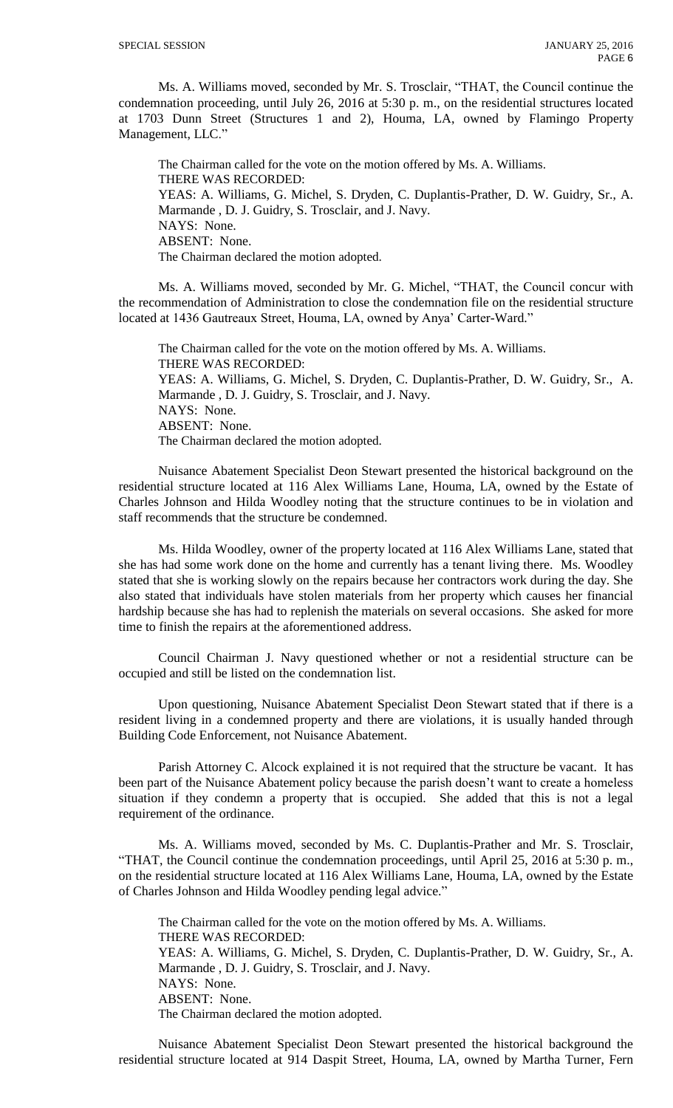Ms. A. Williams moved, seconded by Mr. S. Trosclair, "THAT, the Council continue the condemnation proceeding, until July 26, 2016 at 5:30 p. m., on the residential structures located at 1703 Dunn Street (Structures 1 and 2), Houma, LA, owned by Flamingo Property Management, LLC."

The Chairman called for the vote on the motion offered by Ms. A. Williams. THERE WAS RECORDED: YEAS: A. Williams, G. Michel, S. Dryden, C. Duplantis-Prather, D. W. Guidry, Sr., A. Marmande , D. J. Guidry, S. Trosclair, and J. Navy. NAYS: None. ABSENT: None. The Chairman declared the motion adopted.

Ms. A. Williams moved, seconded by Mr. G. Michel, "THAT, the Council concur with the recommendation of Administration to close the condemnation file on the residential structure located at 1436 Gautreaux Street, Houma, LA, owned by Anya' Carter-Ward."

The Chairman called for the vote on the motion offered by Ms. A. Williams. THERE WAS RECORDED: YEAS: A. Williams, G. Michel, S. Dryden, C. Duplantis-Prather, D. W. Guidry, Sr., A. Marmande , D. J. Guidry, S. Trosclair, and J. Navy. NAYS: None. ABSENT: None. The Chairman declared the motion adopted.

Nuisance Abatement Specialist Deon Stewart presented the historical background on the residential structure located at 116 Alex Williams Lane, Houma, LA, owned by the Estate of Charles Johnson and Hilda Woodley noting that the structure continues to be in violation and staff recommends that the structure be condemned.

Ms. Hilda Woodley, owner of the property located at 116 Alex Williams Lane, stated that she has had some work done on the home and currently has a tenant living there. Ms. Woodley stated that she is working slowly on the repairs because her contractors work during the day. She also stated that individuals have stolen materials from her property which causes her financial hardship because she has had to replenish the materials on several occasions. She asked for more time to finish the repairs at the aforementioned address.

Council Chairman J. Navy questioned whether or not a residential structure can be occupied and still be listed on the condemnation list.

Upon questioning, Nuisance Abatement Specialist Deon Stewart stated that if there is a resident living in a condemned property and there are violations, it is usually handed through Building Code Enforcement, not Nuisance Abatement.

Parish Attorney C. Alcock explained it is not required that the structure be vacant. It has been part of the Nuisance Abatement policy because the parish doesn't want to create a homeless situation if they condemn a property that is occupied. She added that this is not a legal requirement of the ordinance.

Ms. A. Williams moved, seconded by Ms. C. Duplantis-Prather and Mr. S. Trosclair, "THAT, the Council continue the condemnation proceedings, until April 25, 2016 at 5:30 p. m., on the residential structure located at 116 Alex Williams Lane, Houma, LA, owned by the Estate of Charles Johnson and Hilda Woodley pending legal advice."

The Chairman called for the vote on the motion offered by Ms. A. Williams. THERE WAS RECORDED: YEAS: A. Williams, G. Michel, S. Dryden, C. Duplantis-Prather, D. W. Guidry, Sr., A. Marmande , D. J. Guidry, S. Trosclair, and J. Navy. NAYS: None. ABSENT: None. The Chairman declared the motion adopted.

Nuisance Abatement Specialist Deon Stewart presented the historical background the residential structure located at 914 Daspit Street, Houma, LA, owned by Martha Turner, Fern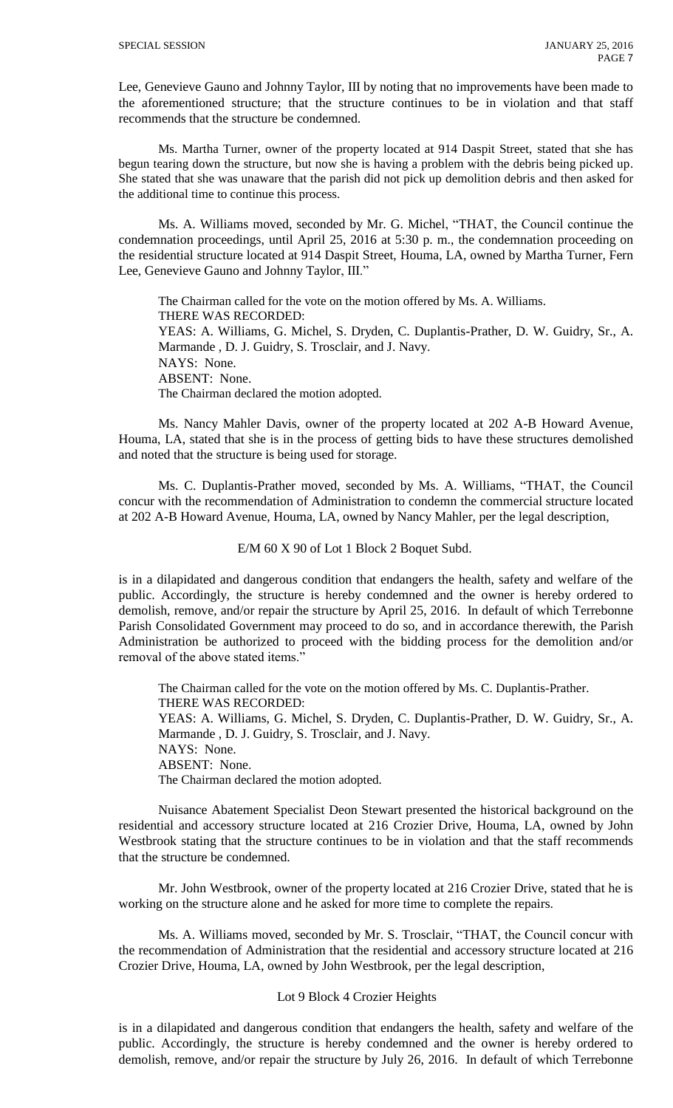Lee, Genevieve Gauno and Johnny Taylor, III by noting that no improvements have been made to the aforementioned structure; that the structure continues to be in violation and that staff recommends that the structure be condemned.

Ms. Martha Turner, owner of the property located at 914 Daspit Street, stated that she has begun tearing down the structure, but now she is having a problem with the debris being picked up. She stated that she was unaware that the parish did not pick up demolition debris and then asked for the additional time to continue this process.

Ms. A. Williams moved, seconded by Mr. G. Michel, "THAT, the Council continue the condemnation proceedings, until April 25, 2016 at 5:30 p. m., the condemnation proceeding on the residential structure located at 914 Daspit Street, Houma, LA, owned by Martha Turner, Fern Lee, Genevieve Gauno and Johnny Taylor, III."

The Chairman called for the vote on the motion offered by Ms. A. Williams. THERE WAS RECORDED: YEAS: A. Williams, G. Michel, S. Dryden, C. Duplantis-Prather, D. W. Guidry, Sr., A. Marmande , D. J. Guidry, S. Trosclair, and J. Navy. NAYS: None. ABSENT: None. The Chairman declared the motion adopted.

Ms. Nancy Mahler Davis, owner of the property located at 202 A-B Howard Avenue, Houma, LA, stated that she is in the process of getting bids to have these structures demolished and noted that the structure is being used for storage.

Ms. C. Duplantis-Prather moved, seconded by Ms. A. Williams, "THAT, the Council concur with the recommendation of Administration to condemn the commercial structure located at 202 A-B Howard Avenue, Houma, LA, owned by Nancy Mahler, per the legal description,

E/M 60 X 90 of Lot 1 Block 2 Boquet Subd.

is in a dilapidated and dangerous condition that endangers the health, safety and welfare of the public. Accordingly, the structure is hereby condemned and the owner is hereby ordered to demolish, remove, and/or repair the structure by April 25, 2016. In default of which Terrebonne Parish Consolidated Government may proceed to do so, and in accordance therewith, the Parish Administration be authorized to proceed with the bidding process for the demolition and/or removal of the above stated items.'

The Chairman called for the vote on the motion offered by Ms. C. Duplantis-Prather. THERE WAS RECORDED: YEAS: A. Williams, G. Michel, S. Dryden, C. Duplantis-Prather, D. W. Guidry, Sr., A. Marmande , D. J. Guidry, S. Trosclair, and J. Navy. NAYS: None. ABSENT: None. The Chairman declared the motion adopted.

Nuisance Abatement Specialist Deon Stewart presented the historical background on the residential and accessory structure located at 216 Crozier Drive, Houma, LA, owned by John Westbrook stating that the structure continues to be in violation and that the staff recommends that the structure be condemned.

Mr. John Westbrook, owner of the property located at 216 Crozier Drive, stated that he is working on the structure alone and he asked for more time to complete the repairs.

Ms. A. Williams moved, seconded by Mr. S. Trosclair, "THAT, the Council concur with the recommendation of Administration that the residential and accessory structure located at 216 Crozier Drive, Houma, LA, owned by John Westbrook, per the legal description,

## Lot 9 Block 4 Crozier Heights

is in a dilapidated and dangerous condition that endangers the health, safety and welfare of the public. Accordingly, the structure is hereby condemned and the owner is hereby ordered to demolish, remove, and/or repair the structure by July 26, 2016. In default of which Terrebonne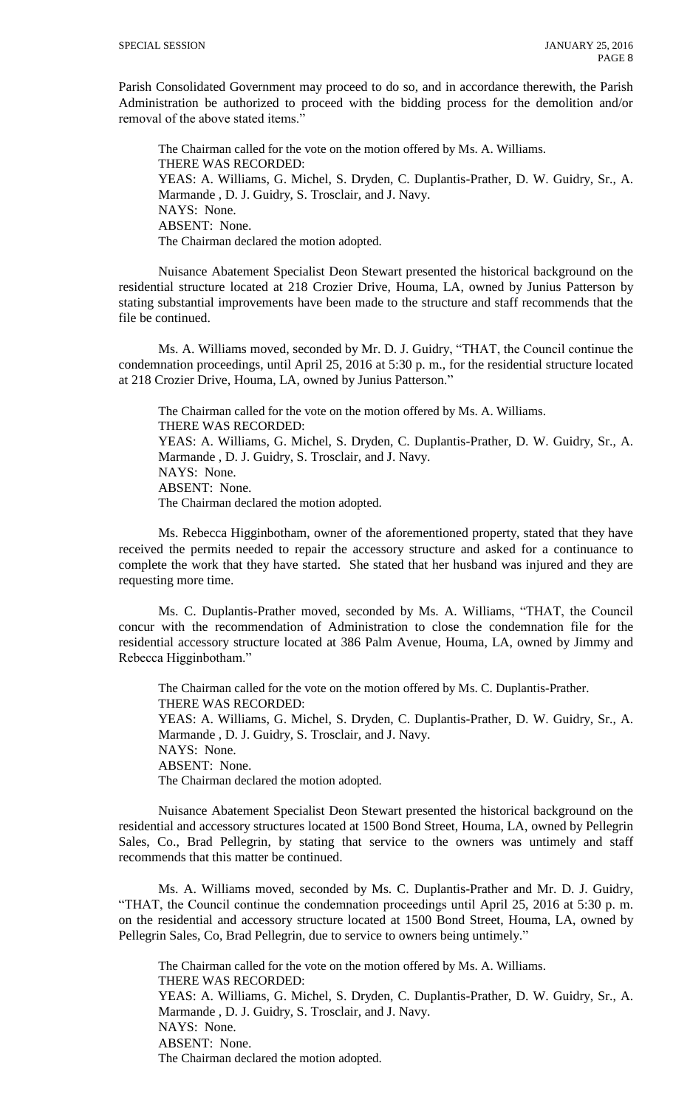Parish Consolidated Government may proceed to do so, and in accordance therewith, the Parish Administration be authorized to proceed with the bidding process for the demolition and/or removal of the above stated items.'

The Chairman called for the vote on the motion offered by Ms. A. Williams. THERE WAS RECORDED: YEAS: A. Williams, G. Michel, S. Dryden, C. Duplantis-Prather, D. W. Guidry, Sr., A. Marmande , D. J. Guidry, S. Trosclair, and J. Navy. NAYS: None. ABSENT: None. The Chairman declared the motion adopted.

Nuisance Abatement Specialist Deon Stewart presented the historical background on the residential structure located at 218 Crozier Drive, Houma, LA, owned by Junius Patterson by stating substantial improvements have been made to the structure and staff recommends that the file be continued.

Ms. A. Williams moved, seconded by Mr. D. J. Guidry, "THAT, the Council continue the condemnation proceedings, until April 25, 2016 at 5:30 p. m., for the residential structure located at 218 Crozier Drive, Houma, LA, owned by Junius Patterson."

The Chairman called for the vote on the motion offered by Ms. A. Williams. THERE WAS RECORDED: YEAS: A. Williams, G. Michel, S. Dryden, C. Duplantis-Prather, D. W. Guidry, Sr., A. Marmande , D. J. Guidry, S. Trosclair, and J. Navy. NAYS: None. ABSENT: None. The Chairman declared the motion adopted.

Ms. Rebecca Higginbotham, owner of the aforementioned property, stated that they have received the permits needed to repair the accessory structure and asked for a continuance to complete the work that they have started. She stated that her husband was injured and they are requesting more time.

Ms. C. Duplantis-Prather moved, seconded by Ms. A. Williams, "THAT, the Council concur with the recommendation of Administration to close the condemnation file for the residential accessory structure located at 386 Palm Avenue, Houma, LA, owned by Jimmy and Rebecca Higginbotham."

The Chairman called for the vote on the motion offered by Ms. C. Duplantis-Prather. THERE WAS RECORDED: YEAS: A. Williams, G. Michel, S. Dryden, C. Duplantis-Prather, D. W. Guidry, Sr., A. Marmande , D. J. Guidry, S. Trosclair, and J. Navy. NAYS: None. ABSENT: None. The Chairman declared the motion adopted.

Nuisance Abatement Specialist Deon Stewart presented the historical background on the residential and accessory structures located at 1500 Bond Street, Houma, LA, owned by Pellegrin Sales, Co., Brad Pellegrin, by stating that service to the owners was untimely and staff recommends that this matter be continued.

Ms. A. Williams moved, seconded by Ms. C. Duplantis-Prather and Mr. D. J. Guidry, "THAT, the Council continue the condemnation proceedings until April 25, 2016 at 5:30 p. m. on the residential and accessory structure located at 1500 Bond Street, Houma, LA, owned by Pellegrin Sales, Co, Brad Pellegrin, due to service to owners being untimely."

The Chairman called for the vote on the motion offered by Ms. A. Williams. THERE WAS RECORDED: YEAS: A. Williams, G. Michel, S. Dryden, C. Duplantis-Prather, D. W. Guidry, Sr., A. Marmande , D. J. Guidry, S. Trosclair, and J. Navy. NAYS: None. ABSENT: None. The Chairman declared the motion adopted.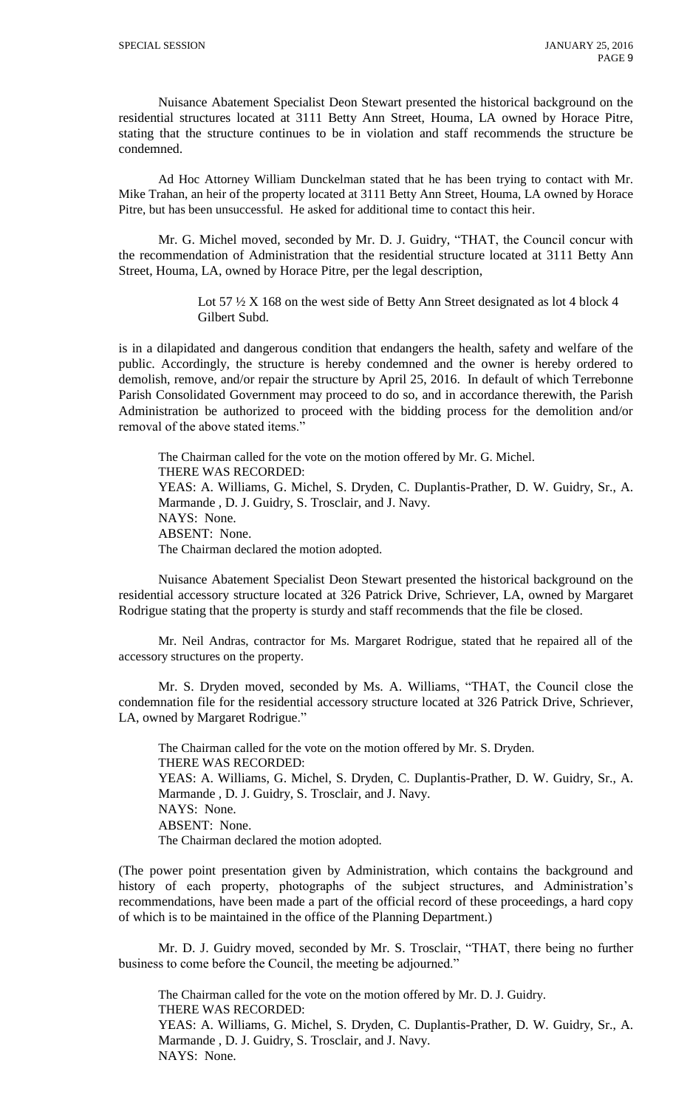Nuisance Abatement Specialist Deon Stewart presented the historical background on the residential structures located at 3111 Betty Ann Street, Houma, LA owned by Horace Pitre, stating that the structure continues to be in violation and staff recommends the structure be condemned.

Ad Hoc Attorney William Dunckelman stated that he has been trying to contact with Mr. Mike Trahan, an heir of the property located at 3111 Betty Ann Street, Houma, LA owned by Horace Pitre, but has been unsuccessful. He asked for additional time to contact this heir.

Mr. G. Michel moved, seconded by Mr. D. J. Guidry, "THAT, the Council concur with the recommendation of Administration that the residential structure located at 3111 Betty Ann Street, Houma, LA, owned by Horace Pitre, per the legal description,

> Lot 57  $\frac{1}{2}$  X 168 on the west side of Betty Ann Street designated as lot 4 block 4 Gilbert Subd.

is in a dilapidated and dangerous condition that endangers the health, safety and welfare of the public. Accordingly, the structure is hereby condemned and the owner is hereby ordered to demolish, remove, and/or repair the structure by April 25, 2016. In default of which Terrebonne Parish Consolidated Government may proceed to do so, and in accordance therewith, the Parish Administration be authorized to proceed with the bidding process for the demolition and/or removal of the above stated items."

The Chairman called for the vote on the motion offered by Mr. G. Michel. THERE WAS RECORDED: YEAS: A. Williams, G. Michel, S. Dryden, C. Duplantis-Prather, D. W. Guidry, Sr., A. Marmande , D. J. Guidry, S. Trosclair, and J. Navy. NAYS: None. ABSENT: None. The Chairman declared the motion adopted.

Nuisance Abatement Specialist Deon Stewart presented the historical background on the residential accessory structure located at 326 Patrick Drive, Schriever, LA, owned by Margaret Rodrigue stating that the property is sturdy and staff recommends that the file be closed.

Mr. Neil Andras, contractor for Ms. Margaret Rodrigue, stated that he repaired all of the accessory structures on the property.

Mr. S. Dryden moved, seconded by Ms. A. Williams, "THAT, the Council close the condemnation file for the residential accessory structure located at 326 Patrick Drive, Schriever, LA, owned by Margaret Rodrigue."

The Chairman called for the vote on the motion offered by Mr. S. Dryden. THERE WAS RECORDED: YEAS: A. Williams, G. Michel, S. Dryden, C. Duplantis-Prather, D. W. Guidry, Sr., A. Marmande , D. J. Guidry, S. Trosclair, and J. Navy. NAYS: None. ABSENT: None. The Chairman declared the motion adopted.

(The power point presentation given by Administration, which contains the background and history of each property, photographs of the subject structures, and Administration's recommendations, have been made a part of the official record of these proceedings, a hard copy of which is to be maintained in the office of the Planning Department.)

Mr. D. J. Guidry moved, seconded by Mr. S. Trosclair, "THAT, there being no further business to come before the Council, the meeting be adjourned."

The Chairman called for the vote on the motion offered by Mr. D. J. Guidry. THERE WAS RECORDED: YEAS: A. Williams, G. Michel, S. Dryden, C. Duplantis-Prather, D. W. Guidry, Sr., A. Marmande , D. J. Guidry, S. Trosclair, and J. Navy. NAYS: None.